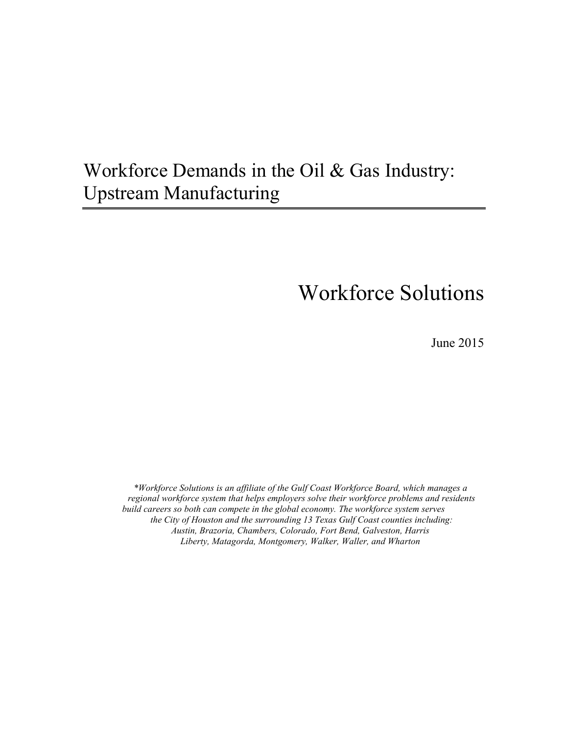# Workforce Demands in the Oil & Gas Industry: Upstream Manufacturing

# Workforce Solutions

June 2015

*\*Workforce Solutions is an affiliate of the Gulf Coast Workforce Board, which manages a regional workforce system that helps employers solve their workforce problems and residents build careers so both can compete in the global economy. The workforce system serves the City of Houston and the surrounding 13 Texas Gulf Coast counties including: Austin, Brazoria, Chambers, Colorado, Fort Bend, Galveston, Harris Liberty, Matagorda, Montgomery, Walker, Waller, and Wharton*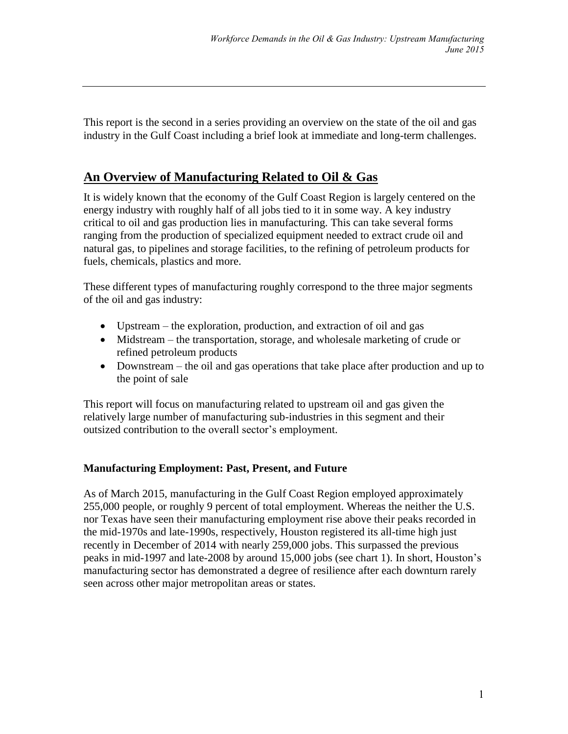This report is the second in a series providing an overview on the state of the oil and gas industry in the Gulf Coast including a brief look at immediate and long-term challenges.

# **An Overview of Manufacturing Related to Oil & Gas**

It is widely known that the economy of the Gulf Coast Region is largely centered on the energy industry with roughly half of all jobs tied to it in some way. A key industry critical to oil and gas production lies in manufacturing. This can take several forms ranging from the production of specialized equipment needed to extract crude oil and natural gas, to pipelines and storage facilities, to the refining of petroleum products for fuels, chemicals, plastics and more.

These different types of manufacturing roughly correspond to the three major segments of the oil and gas industry:

- Upstream the exploration, production, and extraction of oil and gas
- Midstream the transportation, storage, and wholesale marketing of crude or refined petroleum products
- Downstream the oil and gas operations that take place after production and up to the point of sale

This report will focus on manufacturing related to upstream oil and gas given the relatively large number of manufacturing sub-industries in this segment and their outsized contribution to the overall sector's employment.

### **Manufacturing Employment: Past, Present, and Future**

As of March 2015, manufacturing in the Gulf Coast Region employed approximately 255,000 people, or roughly 9 percent of total employment. Whereas the neither the U.S. nor Texas have seen their manufacturing employment rise above their peaks recorded in the mid-1970s and late-1990s, respectively, Houston registered its all-time high just recently in December of 2014 with nearly 259,000 jobs. This surpassed the previous peaks in mid-1997 and late-2008 by around 15,000 jobs (see chart 1). In short, Houston's manufacturing sector has demonstrated a degree of resilience after each downturn rarely seen across other major metropolitan areas or states.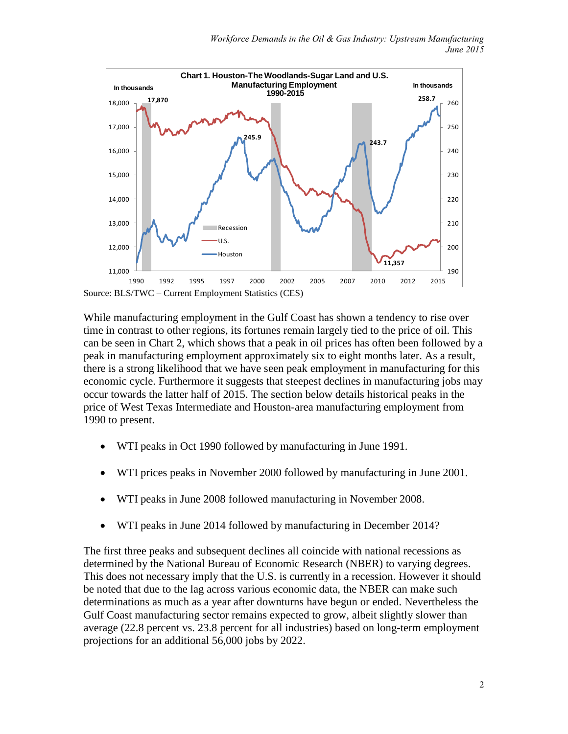

Source: BLS/TWC – Current Employment Statistics (CES)

While manufacturing employment in the Gulf Coast has shown a tendency to rise over time in contrast to other regions, its fortunes remain largely tied to the price of oil. This can be seen in Chart 2, which shows that a peak in oil prices has often been followed by a peak in manufacturing employment approximately six to eight months later. As a result, there is a strong likelihood that we have seen peak employment in manufacturing for this economic cycle. Furthermore it suggests that steepest declines in manufacturing jobs may occur towards the latter half of 2015. The section below details historical peaks in the price of West Texas Intermediate and Houston-area manufacturing employment from 1990 to present.

- WTI peaks in Oct 1990 followed by manufacturing in June 1991.
- WTI prices peaks in November 2000 followed by manufacturing in June 2001.
- WTI peaks in June 2008 followed manufacturing in November 2008.
- WTI peaks in June 2014 followed by manufacturing in December 2014?

The first three peaks and subsequent declines all coincide with national recessions as determined by the National Bureau of Economic Research (NBER) to varying degrees. This does not necessary imply that the U.S. is currently in a recession. However it should be noted that due to the lag across various economic data, the NBER can make such determinations as much as a year after downturns have begun or ended. Nevertheless the Gulf Coast manufacturing sector remains expected to grow, albeit slightly slower than average (22.8 percent vs. 23.8 percent for all industries) based on long-term employment projections for an additional 56,000 jobs by 2022.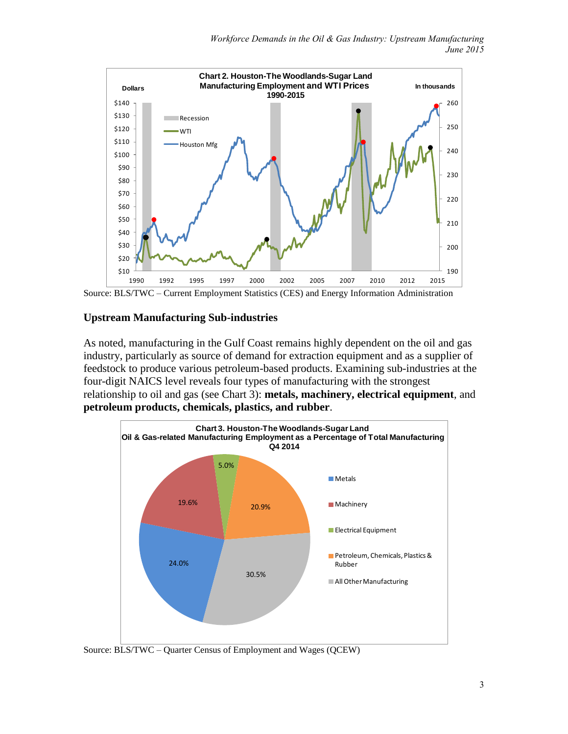

Source: BLS/TWC – Current Employment Statistics (CES) and Energy Information Administration

#### **Upstream Manufacturing Sub-industries**

As noted, manufacturing in the Gulf Coast remains highly dependent on the oil and gas industry, particularly as source of demand for extraction equipment and as a supplier of feedstock to produce various petroleum-based products. Examining sub-industries at the four-digit NAICS level reveals four types of manufacturing with the strongest relationship to oil and gas (see Chart 3): **metals, machinery, electrical equipment**, and **petroleum products, chemicals, plastics, and rubber**.



Source: BLS/TWC – Quarter Census of Employment and Wages (QCEW)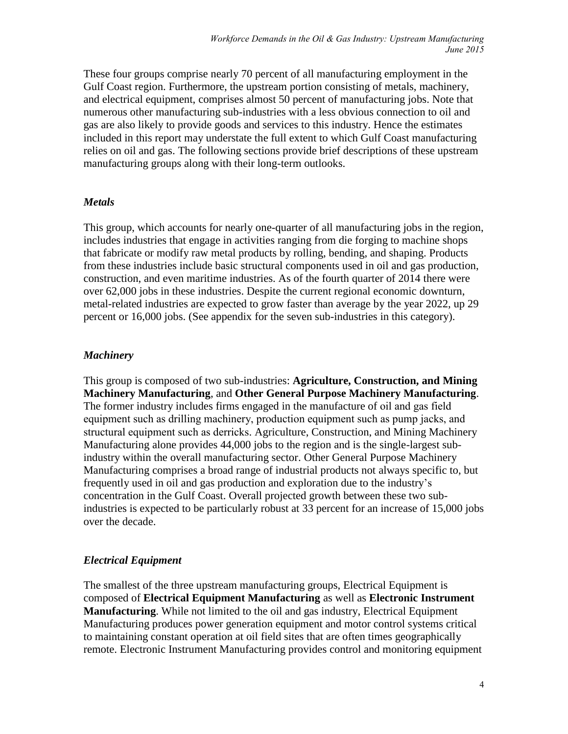These four groups comprise nearly 70 percent of all manufacturing employment in the Gulf Coast region. Furthermore, the upstream portion consisting of metals, machinery, and electrical equipment, comprises almost 50 percent of manufacturing jobs. Note that numerous other manufacturing sub-industries with a less obvious connection to oil and gas are also likely to provide goods and services to this industry. Hence the estimates included in this report may understate the full extent to which Gulf Coast manufacturing relies on oil and gas. The following sections provide brief descriptions of these upstream manufacturing groups along with their long-term outlooks.

#### *Metals*

This group, which accounts for nearly one-quarter of all manufacturing jobs in the region, includes industries that engage in activities ranging from die forging to machine shops that fabricate or modify raw metal products by rolling, bending, and shaping. Products from these industries include basic structural components used in oil and gas production, construction, and even maritime industries. As of the fourth quarter of 2014 there were over 62,000 jobs in these industries. Despite the current regional economic downturn, metal-related industries are expected to grow faster than average by the year 2022, up 29 percent or 16,000 jobs. (See appendix for the seven sub-industries in this category).

#### *Machinery*

This group is composed of two sub-industries: **Agriculture, Construction, and Mining Machinery Manufacturing**, and **Other General Purpose Machinery Manufacturing**. The former industry includes firms engaged in the manufacture of oil and gas field equipment such as drilling machinery, production equipment such as pump jacks, and structural equipment such as derricks. Agriculture, Construction, and Mining Machinery Manufacturing alone provides 44,000 jobs to the region and is the single-largest subindustry within the overall manufacturing sector. Other General Purpose Machinery Manufacturing comprises a broad range of industrial products not always specific to, but frequently used in oil and gas production and exploration due to the industry's concentration in the Gulf Coast. Overall projected growth between these two subindustries is expected to be particularly robust at 33 percent for an increase of 15,000 jobs over the decade.

#### *Electrical Equipment*

The smallest of the three upstream manufacturing groups, Electrical Equipment is composed of **Electrical Equipment Manufacturing** as well as **Electronic Instrument Manufacturing**. While not limited to the oil and gas industry, Electrical Equipment Manufacturing produces power generation equipment and motor control systems critical to maintaining constant operation at oil field sites that are often times geographically remote. Electronic Instrument Manufacturing provides control and monitoring equipment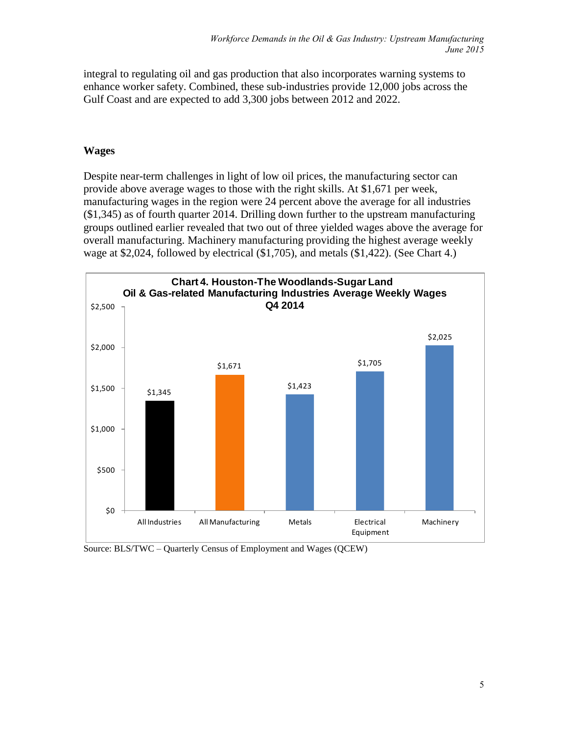integral to regulating oil and gas production that also incorporates warning systems to enhance worker safety. Combined, these sub-industries provide 12,000 jobs across the Gulf Coast and are expected to add 3,300 jobs between 2012 and 2022.

#### **Wages**

Despite near-term challenges in light of low oil prices, the manufacturing sector can provide above average wages to those with the right skills. At \$1,671 per week, manufacturing wages in the region were 24 percent above the average for all industries (\$1,345) as of fourth quarter 2014. Drilling down further to the upstream manufacturing groups outlined earlier revealed that two out of three yielded wages above the average for overall manufacturing. Machinery manufacturing providing the highest average weekly wage at \$2,024, followed by electrical (\$1,705), and metals (\$1,422). (See Chart 4.)



Source: BLS/TWC – Quarterly Census of Employment and Wages (QCEW)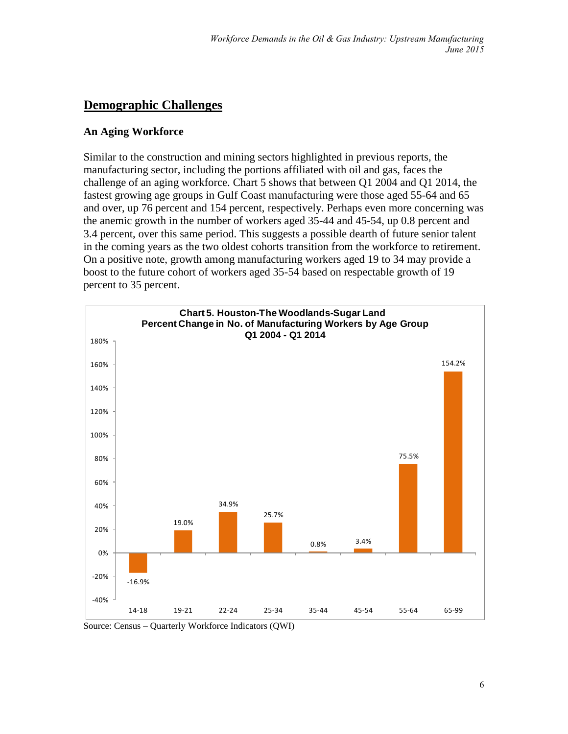# **Demographic Challenges**

#### **An Aging Workforce**

Similar to the construction and mining sectors highlighted in previous reports, the manufacturing sector, including the portions affiliated with oil and gas, faces the challenge of an aging workforce. Chart 5 shows that between Q1 2004 and Q1 2014, the fastest growing age groups in Gulf Coast manufacturing were those aged 55-64 and 65 and over, up 76 percent and 154 percent, respectively. Perhaps even more concerning was the anemic growth in the number of workers aged 35-44 and 45-54, up 0.8 percent and 3.4 percent, over this same period. This suggests a possible dearth of future senior talent in the coming years as the two oldest cohorts transition from the workforce to retirement. On a positive note, growth among manufacturing workers aged 19 to 34 may provide a boost to the future cohort of workers aged 35-54 based on respectable growth of 19 percent to 35 percent.



Source: Census – Quarterly Workforce Indicators (QWI)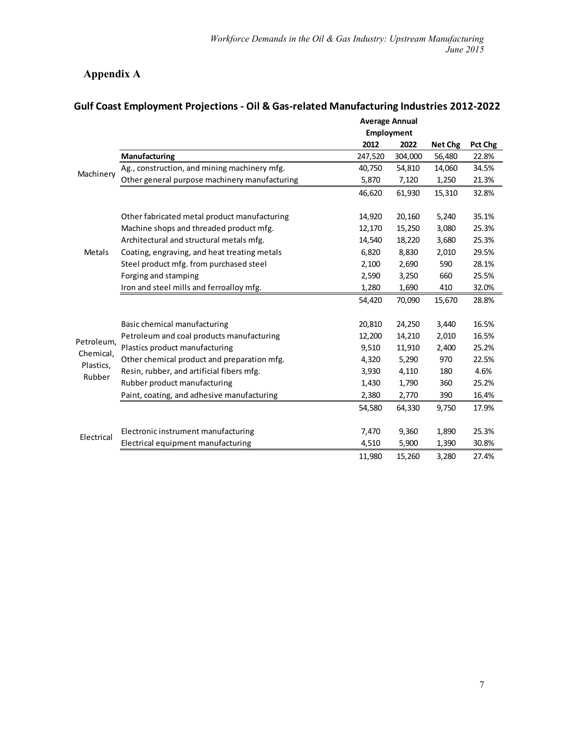# **Appendix A**

|                                   |                                               | <b>Average Annual</b> |         |                |         |
|-----------------------------------|-----------------------------------------------|-----------------------|---------|----------------|---------|
|                                   |                                               | <b>Employment</b>     |         |                |         |
|                                   |                                               | 2012                  | 2022    | <b>Net Chg</b> | Pct Chg |
|                                   | Manufacturing                                 | 247,520               | 304,000 | 56,480         | 22.8%   |
| Machinery                         | Ag., construction, and mining machinery mfg.  | 40,750                | 54,810  | 14,060         | 34.5%   |
|                                   | Other general purpose machinery manufacturing | 5,870                 | 7,120   | 1,250          | 21.3%   |
|                                   |                                               | 46,620                | 61,930  | 15,310         | 32.8%   |
|                                   | Other fabricated metal product manufacturing  | 14,920                | 20,160  | 5,240          | 35.1%   |
|                                   | Machine shops and threaded product mfg.       | 12,170                | 15,250  | 3,080          | 25.3%   |
|                                   | Architectural and structural metals mfg.      | 14,540                | 18,220  | 3,680          | 25.3%   |
| <b>Metals</b>                     | Coating, engraving, and heat treating metals  | 6,820                 | 8,830   | 2,010          | 29.5%   |
|                                   | Steel product mfg. from purchased steel       | 2,100                 | 2,690   | 590            | 28.1%   |
|                                   | Forging and stamping                          | 2,590                 | 3,250   | 660            | 25.5%   |
|                                   | Iron and steel mills and ferroalloy mfg.      | 1,280                 | 1,690   | 410            | 32.0%   |
|                                   |                                               | 54,420                | 70,090  | 15,670         | 28.8%   |
|                                   |                                               |                       |         |                |         |
|                                   | Basic chemical manufacturing                  | 20,810                | 24,250  | 3,440          | 16.5%   |
| Petroleum,                        | Petroleum and coal products manufacturing     | 12,200                | 14,210  | 2,010          | 16.5%   |
| Chemical,                         | Plastics product manufacturing                | 9,510                 | 11,910  | 2,400          | 25.2%   |
|                                   | Other chemical product and preparation mfg.   | 4,320                 | 5,290   | 970            | 22.5%   |
|                                   | Resin, rubber, and artificial fibers mfg.     | 3,930                 | 4,110   | 180            | 4.6%    |
|                                   | Rubber product manufacturing                  | 1,430                 | 1,790   | 360            | 25.2%   |
|                                   | Paint, coating, and adhesive manufacturing    | 2,380                 | 2,770   | 390            | 16.4%   |
|                                   |                                               | 54,580                | 64,330  | 9,750          | 17.9%   |
|                                   |                                               |                       |         |                |         |
|                                   | Electronic instrument manufacturing           | 7,470                 | 9,360   | 1,890          | 25.3%   |
| Plastics,<br>Rubber<br>Electrical | Electrical equipment manufacturing            | 4,510                 | 5,900   | 1,390          | 30.8%   |
|                                   |                                               | 11,980                | 15,260  | 3,280          | 27.4%   |

# **Gulf Coast Employment Projections - Oil & Gas-related Manufacturing Industries 2012-2022**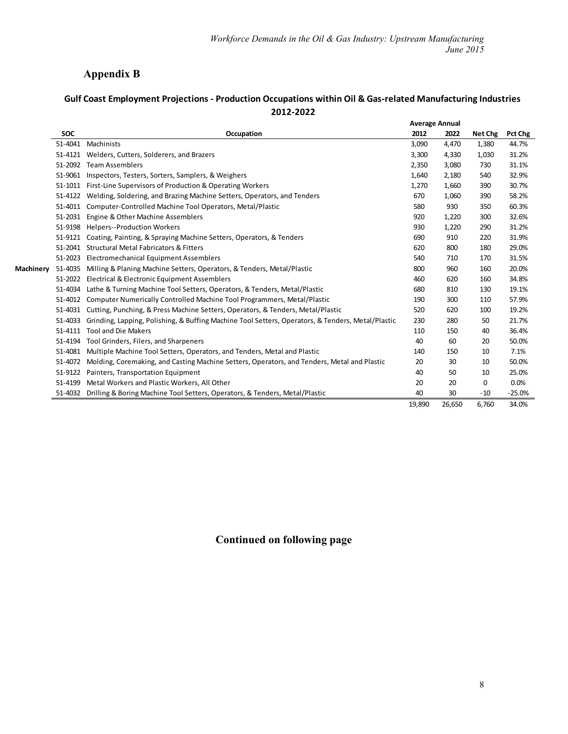## **Appendix B**

#### **Gulf Coast Employment Projections - Production Occupations within Oil & Gas-related Manufacturing Industries 2012-2022**

|           |            |                                                                                                   | <b>Average Annual</b> |        |         |          |
|-----------|------------|---------------------------------------------------------------------------------------------------|-----------------------|--------|---------|----------|
|           | <b>SOC</b> | Occupation                                                                                        | 2012                  | 2022   | Net Chg | Pct Chg  |
|           | 51-4041    | Machinists                                                                                        | 3,090                 | 4,470  | 1,380   | 44.7%    |
|           | 51-4121    | Welders, Cutters, Solderers, and Brazers                                                          | 3,300                 | 4,330  | 1,030   | 31.2%    |
|           | 51-2092    | <b>Team Assemblers</b>                                                                            | 2,350                 | 3,080  | 730     | 31.1%    |
|           | 51-9061    | Inspectors, Testers, Sorters, Samplers, & Weighers                                                | 1,640                 | 2,180  | 540     | 32.9%    |
|           | 51-1011    | First-Line Supervisors of Production & Operating Workers                                          | 1,270                 | 1,660  | 390     | 30.7%    |
|           | 51-4122    | Welding, Soldering, and Brazing Machine Setters, Operators, and Tenders                           | 670                   | 1,060  | 390     | 58.2%    |
|           | 51-4011    | Computer-Controlled Machine Tool Operators, Metal/Plastic                                         | 580                   | 930    | 350     | 60.3%    |
|           | 51-2031    | Engine & Other Machine Assemblers                                                                 | 920                   | 1,220  | 300     | 32.6%    |
|           | 51-9198    | <b>Helpers--Production Workers</b>                                                                | 930                   | 1,220  | 290     | 31.2%    |
|           | 51-9121    | Coating, Painting, & Spraying Machine Setters, Operators, & Tenders                               | 690                   | 910    | 220     | 31.9%    |
|           | 51-2041    | <b>Structural Metal Fabricators &amp; Fitters</b>                                                 | 620                   | 800    | 180     | 29.0%    |
|           | 51-2023    | Electromechanical Equipment Assemblers                                                            | 540                   | 710    | 170     | 31.5%    |
| Machinery | 51-4035    | Milling & Planing Machine Setters, Operators, & Tenders, Metal/Plastic                            | 800                   | 960    | 160     | 20.0%    |
|           | 51-2022    | Electrical & Electronic Equipment Assemblers                                                      | 460                   | 620    | 160     | 34.8%    |
|           | 51-4034    | Lathe & Turning Machine Tool Setters, Operators, & Tenders, Metal/Plastic                         | 680                   | 810    | 130     | 19.1%    |
|           | 51-4012    | Computer Numerically Controlled Machine Tool Programmers, Metal/Plastic                           | 190                   | 300    | 110     | 57.9%    |
|           | 51-4031    | Cutting, Punching, & Press Machine Setters, Operators, & Tenders, Metal/Plastic                   | 520                   | 620    | 100     | 19.2%    |
|           | 51-4033    | Grinding, Lapping, Polishing, & Buffing Machine Tool Setters, Operators, & Tenders, Metal/Plastic | 230                   | 280    | 50      | 21.7%    |
|           | 51-4111    | <b>Tool and Die Makers</b>                                                                        | 110                   | 150    | 40      | 36.4%    |
|           | 51-4194    | Tool Grinders, Filers, and Sharpeners                                                             | 40                    | 60     | 20      | 50.0%    |
|           | 51-4081    | Multiple Machine Tool Setters, Operators, and Tenders, Metal and Plastic                          | 140                   | 150    | 10      | 7.1%     |
|           | 51-4072    | Molding, Coremaking, and Casting Machine Setters, Operators, and Tenders, Metal and Plastic       | 20                    | 30     | 10      | 50.0%    |
|           | 51-9122    | Painters, Transportation Equipment                                                                | 40                    | 50     | 10      | 25.0%    |
|           | 51-4199    | Metal Workers and Plastic Workers, All Other                                                      | 20                    | 20     | 0       | 0.0%     |
|           |            | 51-4032 Drilling & Boring Machine Tool Setters, Operators, & Tenders, Metal/Plastic               | 40                    | 30     | $-10$   | $-25.0%$ |
|           |            |                                                                                                   | 19,890                | 26,650 | 6,760   | 34.0%    |

## **Continued on following page**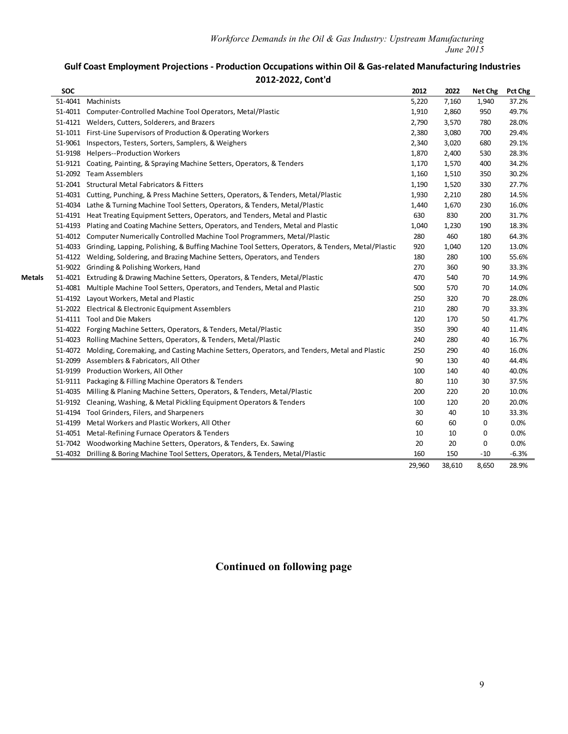#### **Gulf Coast Employment Projections - Production Occupations within Oil & Gas-related Manufacturing Industries 2012-2022, Cont'd**

|        | <b>SOC</b> |                                                                                                           | 2012   | 2022   | Net Chg      | Pct Chg |
|--------|------------|-----------------------------------------------------------------------------------------------------------|--------|--------|--------------|---------|
|        |            | 51-4041 Machinists                                                                                        | 5,220  | 7,160  | 1,940        | 37.2%   |
|        |            | 51-4011 Computer-Controlled Machine Tool Operators, Metal/Plastic                                         | 1,910  | 2,860  | 950          | 49.7%   |
|        |            | 51-4121 Welders, Cutters, Solderers, and Brazers                                                          | 2,790  | 3,570  | 780          | 28.0%   |
|        |            | 51-1011 First-Line Supervisors of Production & Operating Workers                                          | 2,380  | 3,080  | 700          | 29.4%   |
|        |            | 51-9061 Inspectors, Testers, Sorters, Samplers, & Weighers                                                | 2,340  | 3,020  | 680          | 29.1%   |
|        |            | 51-9198 Helpers--Production Workers                                                                       | 1,870  | 2,400  | 530          | 28.3%   |
|        |            | 51-9121 Coating, Painting, & Spraying Machine Setters, Operators, & Tenders                               | 1,170  | 1,570  | 400          | 34.2%   |
|        |            | 51-2092 Team Assemblers                                                                                   | 1,160  | 1,510  | 350          | 30.2%   |
|        |            | 51-2041 Structural Metal Fabricators & Fitters                                                            | 1,190  | 1,520  | 330          | 27.7%   |
|        |            | 51-4031 Cutting, Punching, & Press Machine Setters, Operators, & Tenders, Metal/Plastic                   | 1,930  | 2,210  | 280          | 14.5%   |
|        |            | 51-4034 Lathe & Turning Machine Tool Setters, Operators, & Tenders, Metal/Plastic                         | 1,440  | 1,670  | 230          | 16.0%   |
|        |            | 51-4191 Heat Treating Equipment Setters, Operators, and Tenders, Metal and Plastic                        | 630    | 830    | 200          | 31.7%   |
|        |            | 51-4193 Plating and Coating Machine Setters, Operators, and Tenders, Metal and Plastic                    | 1,040  | 1,230  | 190          | 18.3%   |
|        |            | 51-4012 Computer Numerically Controlled Machine Tool Programmers, Metal/Plastic                           | 280    | 460    | 180          | 64.3%   |
|        |            | 51-4033 Grinding, Lapping, Polishing, & Buffing Machine Tool Setters, Operators, & Tenders, Metal/Plastic | 920    | 1,040  | 120          | 13.0%   |
|        |            | 51-4122 Welding, Soldering, and Brazing Machine Setters, Operators, and Tenders                           | 180    | 280    | 100          | 55.6%   |
|        |            | 51-9022 Grinding & Polishing Workers, Hand                                                                | 270    | 360    | 90           | 33.3%   |
| Metals |            | 51-4021 Extruding & Drawing Machine Setters, Operators, & Tenders, Metal/Plastic                          | 470    | 540    | 70           | 14.9%   |
|        |            | 51-4081 Multiple Machine Tool Setters, Operators, and Tenders, Metal and Plastic                          | 500    | 570    | 70           | 14.0%   |
|        |            | 51-4192 Layout Workers, Metal and Plastic                                                                 | 250    | 320    | 70           | 28.0%   |
|        |            | 51-2022 Electrical & Electronic Equipment Assemblers                                                      | 210    | 280    | 70           | 33.3%   |
|        |            | 51-4111 Tool and Die Makers                                                                               | 120    | 170    | 50           | 41.7%   |
|        |            | 51-4022 Forging Machine Setters, Operators, & Tenders, Metal/Plastic                                      | 350    | 390    | 40           | 11.4%   |
|        |            | 51-4023 Rolling Machine Setters, Operators, & Tenders, Metal/Plastic                                      | 240    | 280    | 40           | 16.7%   |
|        |            | 51-4072 Molding, Coremaking, and Casting Machine Setters, Operators, and Tenders, Metal and Plastic       | 250    | 290    | 40           | 16.0%   |
|        |            | 51-2099 Assemblers & Fabricators, All Other                                                               | 90     | 130    | 40           | 44.4%   |
|        |            | 51-9199 Production Workers, All Other                                                                     | 100    | 140    | 40           | 40.0%   |
|        |            | 51-9111 Packaging & Filling Machine Operators & Tenders                                                   | 80     | 110    | 30           | 37.5%   |
|        |            | 51-4035 Milling & Planing Machine Setters, Operators, & Tenders, Metal/Plastic                            | 200    | 220    | 20           | 10.0%   |
|        |            | 51-9192 Cleaning, Washing, & Metal Pickling Equipment Operators & Tenders                                 | 100    | 120    | 20           | 20.0%   |
|        |            | 51-4194 Tool Grinders, Filers, and Sharpeners                                                             | 30     | 40     | 10           | 33.3%   |
|        |            | 51-4199 Metal Workers and Plastic Workers, All Other                                                      | 60     | 60     | 0            | 0.0%    |
|        |            | 51-4051 Metal-Refining Furnace Operators & Tenders                                                        | 10     | 10     | $\mathbf{0}$ | 0.0%    |
|        |            | 51-7042 Woodworking Machine Setters, Operators, & Tenders, Ex. Sawing                                     | 20     | 20     | 0            | 0.0%    |
|        |            | 51-4032 Drilling & Boring Machine Tool Setters, Operators, & Tenders, Metal/Plastic                       | 160    | 150    | $-10$        | $-6.3%$ |
|        |            |                                                                                                           | 29,960 | 38,610 | 8,650        | 28.9%   |

## **Continued on following page**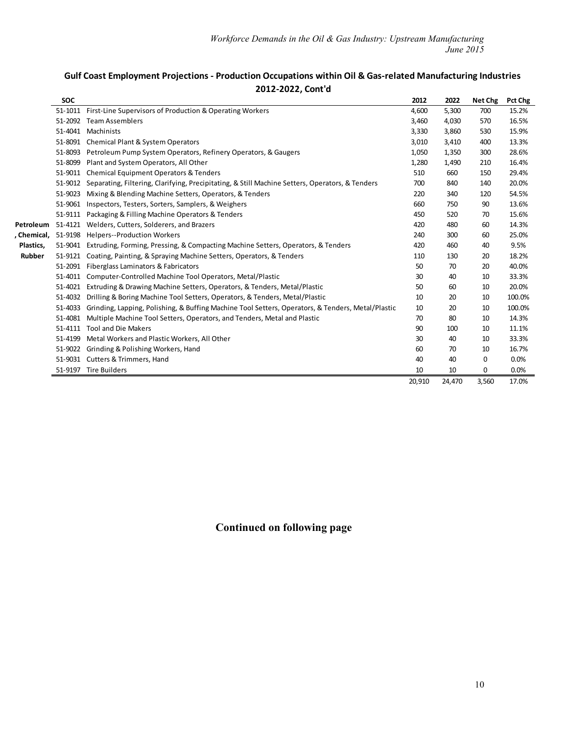| Gulf Coast Employment Projections - Production Occupations within Oil & Gas-related Manufacturing Industries |  |  |  |  |  |
|--------------------------------------------------------------------------------------------------------------|--|--|--|--|--|
| 2012-2022, Cont'd                                                                                            |  |  |  |  |  |

|             | <b>SOC</b> |                                                                                                   | 2012   | 2022   | Net Chg  | Pct Chg |
|-------------|------------|---------------------------------------------------------------------------------------------------|--------|--------|----------|---------|
|             | 51-1011    | First-Line Supervisors of Production & Operating Workers                                          | 4,600  | 5,300  | 700      | 15.2%   |
|             | 51-2092    | <b>Team Assemblers</b>                                                                            | 3,460  | 4,030  | 570      | 16.5%   |
|             | 51-4041    | Machinists                                                                                        | 3,330  | 3,860  | 530      | 15.9%   |
|             |            | 51-8091 Chemical Plant & System Operators                                                         | 3,010  | 3,410  | 400      | 13.3%   |
|             | 51-8093    | Petroleum Pump System Operators, Refinery Operators, & Gaugers                                    | 1,050  | 1,350  | 300      | 28.6%   |
|             | 51-8099    | Plant and System Operators, All Other                                                             | 1,280  | 1,490  | 210      | 16.4%   |
|             | 51-9011    | <b>Chemical Equipment Operators &amp; Tenders</b>                                                 | 510    | 660    | 150      | 29.4%   |
|             | 51-9012    | Separating, Filtering, Clarifying, Precipitating, & Still Machine Setters, Operators, & Tenders   | 700    | 840    | 140      | 20.0%   |
|             | 51-9023    | Mixing & Blending Machine Setters, Operators, & Tenders                                           | 220    | 340    | 120      | 54.5%   |
|             | 51-9061    | Inspectors, Testers, Sorters, Samplers, & Weighers                                                | 660    | 750    | 90       | 13.6%   |
|             | 51-9111    | Packaging & Filling Machine Operators & Tenders                                                   | 450    | 520    | 70       | 15.6%   |
| Petroleum   | 51-4121    | Welders, Cutters, Solderers, and Brazers                                                          | 420    | 480    | 60       | 14.3%   |
| , Chemical, | 51-9198    | <b>Helpers--Production Workers</b>                                                                | 240    | 300    | 60       | 25.0%   |
| Plastics,   | 51-9041    | Extruding, Forming, Pressing, & Compacting Machine Setters, Operators, & Tenders                  | 420    | 460    | 40       | 9.5%    |
| Rubber      | 51-9121    | Coating, Painting, & Spraying Machine Setters, Operators, & Tenders                               | 110    | 130    | 20       | 18.2%   |
|             | 51-2091    | Fiberglass Laminators & Fabricators                                                               | 50     | 70     | 20       | 40.0%   |
|             | 51-4011    | Computer-Controlled Machine Tool Operators, Metal/Plastic                                         | 30     | 40     | 10       | 33.3%   |
|             | 51-4021    | Extruding & Drawing Machine Setters, Operators, & Tenders, Metal/Plastic                          | 50     | 60     | 10       | 20.0%   |
|             | 51-4032    | Drilling & Boring Machine Tool Setters, Operators, & Tenders, Metal/Plastic                       | 10     | 20     | 10       | 100.0%  |
|             | 51-4033    | Grinding, Lapping, Polishing, & Buffing Machine Tool Setters, Operators, & Tenders, Metal/Plastic | 10     | 20     | 10       | 100.0%  |
|             | 51-4081    | Multiple Machine Tool Setters, Operators, and Tenders, Metal and Plastic                          | 70     | 80     | 10       | 14.3%   |
|             | 51-4111    | <b>Tool and Die Makers</b>                                                                        | 90     | 100    | 10       | 11.1%   |
|             | 51-4199    | Metal Workers and Plastic Workers, All Other                                                      | 30     | 40     | 10       | 33.3%   |
|             | 51-9022    | Grinding & Polishing Workers, Hand                                                                | 60     | 70     | 10       | 16.7%   |
|             |            | 51-9031 Cutters & Trimmers, Hand                                                                  | 40     | 40     | $\Omega$ | 0.0%    |
|             |            | 51-9197 Tire Builders                                                                             | 10     | 10     | 0        | 0.0%    |
|             |            |                                                                                                   | 20,910 | 24,470 | 3,560    | 17.0%   |

**Continued on following page**